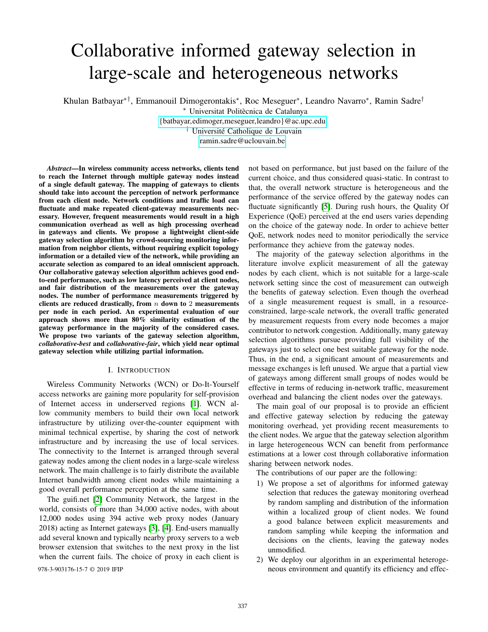# Collaborative informed gateway selection in large-scale and heterogeneous networks

Khulan Batbayar∗†, Emmanouil Dimogerontakis<sup>∗</sup> , Roc Meseguer<sup>∗</sup> , Leandro Navarro<sup>∗</sup> , Ramin Sadre†

<sup>∗</sup> Universitat Politècnica de Catalunya

<{batbayar,edimoger,meseguer,leandro}@ac.upc.edu>

† Université Catholique de Louvain

<ramin.sadre@uclouvain.be>

*Abstract*—In wireless community access networks, clients tend to reach the Internet through multiple gateway nodes instead of a single default gateway. The mapping of gateways to clients should take into account the perception of network performance from each client node. Network conditions and traffic load can fluctuate and make repeated client-gateway measurements necessary. However, frequent measurements would result in a high communication overhead as well as high processing overhead in gateways and clients. We propose a lightweight client-side gateway selection algorithm by crowd-sourcing monitoring information from neighbor clients, without requiring explicit topology information or a detailed view of the network, while providing an accurate selection as compared to an ideal omniscient approach. Our collaborative gateway selection algorithm achieves good endto-end performance, such as low latency perceived at client nodes, and fair distribution of the measurements over the gateway nodes. The number of performance measurements triggered by clients are reduced drastically, from  $n$  down to 2 measurements per node in each period. An experimental evaluation of our approach shows more than 80% similarity estimation of the gateway performance in the majority of the considered cases. We propose two variants of the gateway selection algorithm, *collaborative-best* and *collaborative-fair*, which yield near optimal gateway selection while utilizing partial information.

# I. INTRODUCTION

Wireless Community Networks (WCN) or Do-It-Yourself access networks are gaining more popularity for self-provision of Internet access in underserved regions [\[1\]](#page-8-0). WCN allow community members to build their own local network infrastructure by utilizing over-the-counter equipment with minimal technical expertise, by sharing the cost of network infrastructure and by increasing the use of local services. The connectivity to the Internet is arranged through several gateway nodes among the client nodes in a large-scale wireless network. The main challenge is to fairly distribute the available Internet bandwidth among client nodes while maintaining a good overall performance perception at the same time.

The guifi.net [\[2\]](#page-8-1) Community Network, the largest in the world, consists of more than 34,000 active nodes, with about 12,000 nodes using 394 active web proxy nodes (January 2018) acting as Internet gateways [\[3\]](#page-8-2), [\[4\]](#page-8-3). End-users manually add several known and typically nearby proxy servers to a web browser extension that switches to the next proxy in the list when the current fails. The choice of proxy in each client is

not based on performance, but just based on the failure of the current choice, and thus considered quasi-static. In contrast to that, the overall network structure is heterogeneous and the performance of the service offered by the gateway nodes can fluctuate significantly [\[5\]](#page-8-4). During rush hours, the Quality Of Experience (QoE) perceived at the end users varies depending on the choice of the gateway node. In order to achieve better QoE, network nodes need to monitor periodically the service performance they achieve from the gateway nodes.

The majority of the gateway selection algorithms in the literature involve explicit measurement of all the gateway nodes by each client, which is not suitable for a large-scale network setting since the cost of measurement can outweigh the benefits of gateway selection. Even though the overhead of a single measurement request is small, in a resourceconstrained, large-scale network, the overall traffic generated by measurement requests from every node becomes a major contributor to network congestion. Additionally, many gateway selection algorithms pursue providing full visibility of the gateways just to select one best suitable gateway for the node. Thus, in the end, a significant amount of measurements and message exchanges is left unused. We argue that a partial view of gateways among different small groups of nodes would be effective in terms of reducing in-network traffic, measurement overhead and balancing the client nodes over the gateways.

The main goal of our proposal is to provide an efficient and effective gateway selection by reducing the gateway monitoring overhead, yet providing recent measurements to the client nodes. We argue that the gateway selection algorithm in large heterogeneous WCN can benefit from performance estimations at a lower cost through collaborative information sharing between network nodes.

The contributions of our paper are the following:

- 1) We propose a set of algorithms for informed gateway selection that reduces the gateway monitoring overhead by random sampling and distribution of the information within a localized group of client nodes. We found a good balance between explicit measurements and random sampling while keeping the information and decisions on the clients, leaving the gateway nodes unmodified.
- 2) We deploy our algorithm in an experimental heteroge-978-3-903176-15-7 © 2019 IFIP neous environment and quantify its efficiency and effec-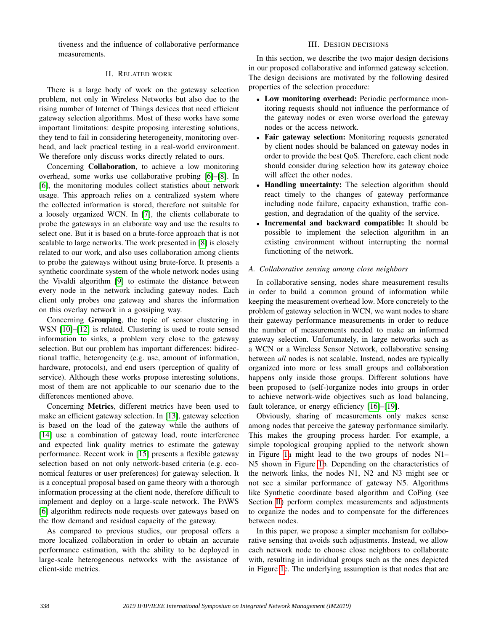tiveness and the influence of collaborative performance measurements.

# II. RELATED WORK

<span id="page-1-0"></span>There is a large body of work on the gateway selection problem, not only in Wireless Networks but also due to the rising number of Internet of Things devices that need efficient gateway selection algorithms. Most of these works have some important limitations: despite proposing interesting solutions, they tend to fail in considering heterogeneity, monitoring overhead, and lack practical testing in a real-world environment. We therefore only discuss works directly related to ours.

Concerning Collaboration, to achieve a low monitoring overhead, some works use collaborative probing [\[6\]](#page-8-5)–[\[8\]](#page-8-6). In [\[6\]](#page-8-5), the monitoring modules collect statistics about network usage. This approach relies on a centralized system where the collected information is stored, therefore not suitable for a loosely organized WCN. In [\[7\]](#page-8-7), the clients collaborate to probe the gateways in an elaborate way and use the results to select one. But it is based on a brute-force approach that is not scalable to large networks. The work presented in [\[8\]](#page-8-6) is closely related to our work, and also uses collaboration among clients to probe the gateways without using brute-force. It presents a synthetic coordinate system of the whole network nodes using the Vivaldi algorithm [\[9\]](#page-8-8) to estimate the distance between every node in the network including gateway nodes. Each client only probes one gateway and shares the information on this overlay network in a gossiping way.

Concerning Grouping, the topic of sensor clustering in WSN [\[10\]](#page-8-9)–[\[12\]](#page-8-10) is related. Clustering is used to route sensed information to sinks, a problem very close to the gateway selection. But our problem has important differences: bidirectional traffic, heterogeneity (e.g. use, amount of information, hardware, protocols), and end users (perception of quality of service). Although these works propose interesting solutions, most of them are not applicable to our scenario due to the differences mentioned above.

Concerning Metrics, different metrics have been used to make an efficient gateway selection. In [\[13\]](#page-8-11), gateway selection is based on the load of the gateway while the authors of [\[14\]](#page-8-12) use a combination of gateway load, route interference and expected link quality metrics to estimate the gateway performance. Recent work in [\[15\]](#page-8-13) presents a flexible gateway selection based on not only network-based criteria (e.g. economical features or user preferences) for gateway selection. It is a conceptual proposal based on game theory with a thorough information processing at the client node, therefore difficult to implement and deploy on a large-scale network. The PAWS [\[6\]](#page-8-5) algorithm redirects node requests over gateways based on the flow demand and residual capacity of the gateway.

As compared to previous studies, our proposal offers a more localized collaboration in order to obtain an accurate performance estimation, with the ability to be deployed in large-scale heterogeneous networks with the assistance of client-side metrics.

# III. DESIGN DECISIONS

In this section, we describe the two major design decisions in our proposed collaborative and informed gateway selection. The design decisions are motivated by the following desired properties of the selection procedure:

- Low monitoring overhead: Periodic performance monitoring requests should not influence the performance of the gateway nodes or even worse overload the gateway nodes or the access network.
- Fair gateway selection: Monitoring requests generated by client nodes should be balanced on gateway nodes in order to provide the best QoS. Therefore, each client node should consider during selection how its gateway choice will affect the other nodes.
- Handling uncertainty: The selection algorithm should react timely to the changes of gateway performance including node failure, capacity exhaustion, traffic congestion, and degradation of the quality of the service.
- Incremental and backward compatible: It should be possible to implement the selection algorithm in an existing environment without interrupting the normal functioning of the network.

## <span id="page-1-1"></span>*A. Collaborative sensing among close neighbors*

In collaborative sensing, nodes share measurement results in order to build a common ground of information while keeping the measurement overhead low. More concretely to the problem of gateway selection in WCN, we want nodes to share their gateway performance measurements in order to reduce the number of measurements needed to make an informed gateway selection. Unfortunately, in large networks such as a WCN or a Wireless Sensor Network, collaborative sensing between *all* nodes is not scalable. Instead, nodes are typically organized into more or less small groups and collaboration happens only inside those groups. Different solutions have been proposed to (self-)organize nodes into groups in order to achieve network-wide objectives such as load balancing, fault tolerance, or energy efficiency [\[16\]](#page-8-14)–[\[19\]](#page-8-15).

Obviously, sharing of measurements only makes sense among nodes that perceive the gateway performance similarly. This makes the grouping process harder. For example, a simple topological grouping applied to the network shown in Figure [1a](#page-2-0) might lead to the two groups of nodes N1– N5 shown in Figure [1b](#page-2-0). Depending on the characteristics of the network links, the nodes N1, N2 and N3 might see or not see a similar performance of gateway N5. Algorithms like Synthetic coordinate based algorithm and CoPing (see Section [II\)](#page-1-0) perform complex measurements and adjustments to organize the nodes and to compensate for the differences between nodes.

In this paper, we propose a simpler mechanism for collaborative sensing that avoids such adjustments. Instead, we allow each network node to choose close neighbors to collaborate with, resulting in individual groups such as the ones depicted in Figure [1c](#page-2-0). The underlying assumption is that nodes that are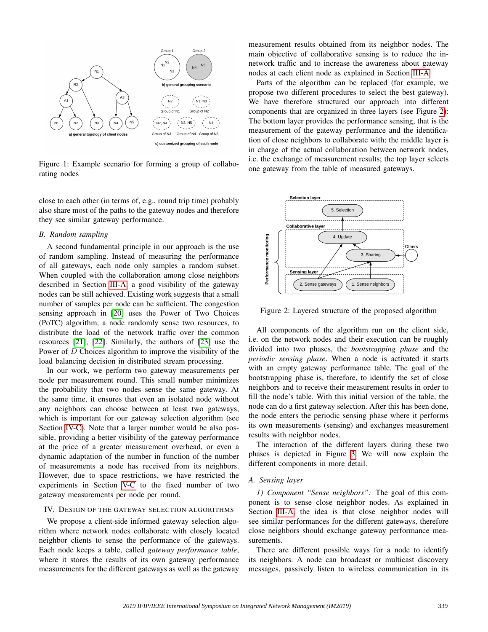<span id="page-2-0"></span>

Figure 1: Example scenario for forming a group of collaborating nodes

close to each other (in terms of, e.g., round trip time) probably also share most of the paths to the gateway nodes and therefore they see similar gateway performance.

## <span id="page-2-2"></span>*B. Random sampling*

A second fundamental principle in our approach is the use of random sampling. Instead of measuring the performance of all gateways, each node only samples a random subset. When coupled with the collaboration among close neighbors described in Section [III-A,](#page-1-1) a good visibility of the gateway nodes can be still achieved. Existing work suggests that a small number of samples per node can be sufficient. The congestion sensing approach in [\[20\]](#page-8-16) uses the Power of Two Choices (PoTC) algorithm, a node randomly sense two resources, to distribute the load of the network traffic over the common resources [\[21\]](#page-8-17), [\[22\]](#page-8-18). Similarly, the authors of [\[23\]](#page-8-19) use the Power of D Choices algorithm to improve the visibility of the load balancing decision in distributed stream processing.

In our work, we perform two gateway measurements per node per measurement round. This small number minimizes the probability that two nodes sense the same gateway. At the same time, it ensures that even an isolated node without any neighbors can choose between at least two gateways, which is important for our gateway selection algorithm (see Section [IV-C\)](#page-4-0). Note that a larger number would be also possible, providing a better visibility of the gateway performance at the price of a greater measurement overhead, or even a dynamic adaptation of the number in function of the number of measurements a node has received from its neighbors. However, due to space restrictions, we have restricted the experiments in Section [V-C](#page-5-0) to the fixed number of two gateway measurements per node per round.

#### IV. DESIGN OF THE GATEWAY SELECTION ALGORITHMS

We propose a client-side informed gateway selection algorithm where network nodes collaborate with closely located neighbor clients to sense the performance of the gateways. Each node keeps a table, called *gateway performance table*, where it stores the results of its own gateway performance measurements for the different gateways as well as the gateway measurement results obtained from its neighbor nodes. The main objective of collaborative sensing is to reduce the innetwork traffic and to increase the awareness about gateway nodes at each client node as explained in Section [III-A.](#page-1-1)

Parts of the algorithm can be replaced (for example, we propose two different procedures to select the best gateway). We have therefore structured our approach into different components that are organized in three layers (see Figure [2\)](#page-2-1): The bottom layer provides the performance sensing, that is the measurement of the gateway performance and the identification of close neighbors to collaborate with; the middle layer is in charge of the actual collaboration between network nodes, i.e. the exchange of measurement results; the top layer selects one gateway from the table of measured gateways.

<span id="page-2-1"></span>

Figure 2: Layered structure of the proposed algorithm

All components of the algorithm run on the client side, i.e. on the network nodes and their execution can be roughly divided into two phases, the *bootstrapping phase* and the *periodic sensing phase*. When a node is activated it starts with an empty gateway performance table. The goal of the bootstrapping phase is, therefore, to identify the set of close neighbors and to receive their measurement results in order to fill the node's table. With this initial version of the table, the node can do a first gateway selection. After this has been done, the node enters the periodic sensing phase where it performs its own measurements (sensing) and exchanges measurement results with neighbor nodes.

The interaction of the different layers during these two phases is depicted in Figure [3.](#page-3-0) We will now explain the different components in more detail.

#### *A. Sensing layer*

*1) Component "Sense neighbors":* The goal of this component is to sense close neighbor nodes. As explained in Section [III-A,](#page-1-1) the idea is that close neighbor nodes will see similar performances for the different gateways, therefore close neighbors should exchange gateway performance measurements.

There are different possible ways for a node to identify its neighbors. A node can broadcast or multicast discovery messages, passively listen to wireless communication in its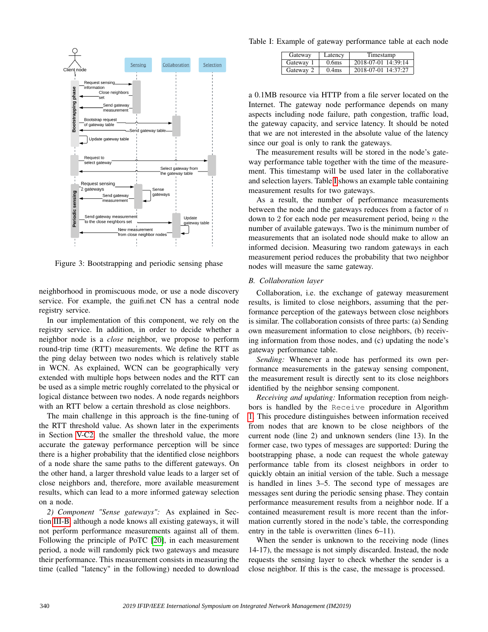<span id="page-3-0"></span>

Figure 3: Bootstrapping and periodic sensing phase

neighborhood in promiscuous mode, or use a node discovery service. For example, the guifi.net CN has a central node registry service.

In our implementation of this component, we rely on the registry service. In addition, in order to decide whether a neighbor node is a *close* neighbor, we propose to perform round-trip time (RTT) measurements. We define the RTT as the ping delay between two nodes which is relatively stable in WCN. As explained, WCN can be geographically very extended with multiple hops between nodes and the RTT can be used as a simple metric roughly correlated to the physical or logical distance between two nodes. A node regards neighbors with an RTT below a certain threshold as close neighbors.

The main challenge in this approach is the fine-tuning of the RTT threshold value. As shown later in the experiments in Section [V-C2,](#page-5-1) the smaller the threshold value, the more accurate the gateway performance perception will be since there is a higher probability that the identified close neighbors of a node share the same paths to the different gateways. On the other hand, a larger threshold value leads to a larger set of close neighbors and, therefore, more available measurement results, which can lead to a more informed gateway selection on a node.

*2) Component "Sense gateways":* As explained in Section [III-B,](#page-2-2) although a node knows all existing gateways, it will not perform performance measurements against all of them. Following the principle of PoTC [\[20\]](#page-8-16), in each measurement period, a node will randomly pick two gateways and measure their performance. This measurement consists in measuring the time (called "latency" in the following) needed to download

<span id="page-3-1"></span>Table I: Example of gateway performance table at each node

| Gateway   | Latency           | Timestamp           |
|-----------|-------------------|---------------------|
| Gateway 1 | 0.6 <sub>ms</sub> | 2018-07-01 14:39:14 |
| Gateway 2 | 0.4 <sub>ms</sub> | 2018-07-01 14:37:27 |

a 0.1MB resource via HTTP from a file server located on the Internet. The gateway node performance depends on many aspects including node failure, path congestion, traffic load, the gateway capacity, and service latency. It should be noted that we are not interested in the absolute value of the latency since our goal is only to rank the gateways.

The measurement results will be stored in the node's gateway performance table together with the time of the measurement. This timestamp will be used later in the collaborative and selection layers. Table [I](#page-3-1) shows an example table containing measurement results for two gateways.

As a result, the number of performance measurements between the node and the gateways reduces from a factor of  $n$ down to 2 for each node per measurement period, being  $n$  the number of available gateways. Two is the minimum number of measurements that an isolated node should make to allow an informed decision. Measuring two random gateways in each measurement period reduces the probability that two neighbor nodes will measure the same gateway.

## *B. Collaboration layer*

Collaboration, i.e. the exchange of gateway measurement results, is limited to close neighbors, assuming that the performance perception of the gateways between close neighbors is similar. The collaboration consists of three parts: (a) Sending own measurement information to close neighbors, (b) receiving information from those nodes, and (c) updating the node's gateway performance table.

*Sending:* Whenever a node has performed its own performance measurements in the gateway sensing component, the measurement result is directly sent to its close neighbors identified by the neighbor sensing component.

*Receiving and updating:* Information reception from neighbors is handled by the Receive procedure in Algorithm [1.](#page-4-1) This procedure distinguishes between information received from nodes that are known to be close neighbors of the current node (line 2) and unknown senders (line 13). In the former case, two types of messages are supported: During the bootstrapping phase, a node can request the whole gateway performance table from its closest neighbors in order to quickly obtain an initial version of the table. Such a message is handled in lines 3–5. The second type of messages are messages sent during the periodic sensing phase. They contain performance measurement results from a neighbor node. If a contained measurement result is more recent than the information currently stored in the node's table, the corresponding entry in the table is overwritten (lines 6–11).

When the sender is unknown to the receiving node (lines 14-17), the message is not simply discarded. Instead, the node requests the sensing layer to check whether the sender is a close neighbor. If this is the case, the message is processed.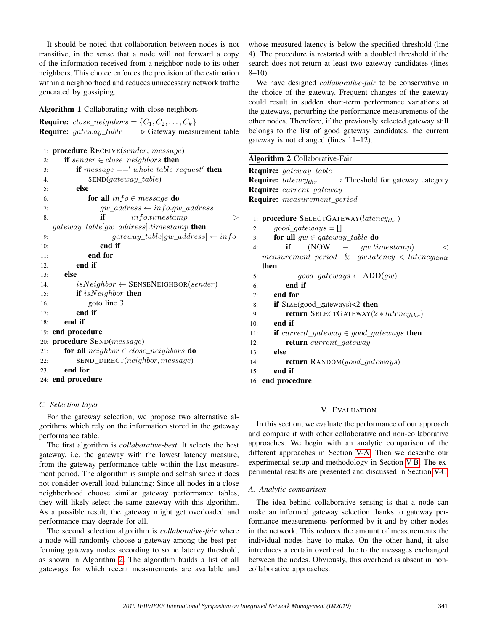It should be noted that collaboration between nodes is not transitive, in the sense that a node will not forward a copy of the information received from a neighbor node to its other neighbors. This choice enforces the precision of the estimation within a neighborhood and reduces unnecessary network traffic generated by gossiping.

<span id="page-4-1"></span>

| <b>Require:</b> close_neighbors = $\{C_1, C_2, \ldots, C_k\}$ |                                            |
|---------------------------------------------------------------|--------------------------------------------|
| <b>Require:</b> gateway_table                                 | $\triangleright$ Gateway measurement table |

| 1:  | <b>procedure</b> RECEIVE(sender, message)                |  |  |
|-----|----------------------------------------------------------|--|--|
| 2:  | <b>if</b> sender $\in$ close_neighbors <b>then</b>       |  |  |
| 3:  | <b>if</b> message $=='$ whole table request' <b>then</b> |  |  |
| 4:  | $\text{SEND}(gateway\_table)$                            |  |  |
| 5:  | else                                                     |  |  |
| 6:  | for all $info \in message$ do                            |  |  |
| 7:  | $gw\_address \leftarrow info.gw\_address$                |  |  |
| 8:  | info.time stamp<br>if                                    |  |  |
|     | gateway_table[gw_address].timestamp <b>then</b>          |  |  |
| 9:  | $gateway\_table[gw\_address] \leftarrow info$            |  |  |
| 10: | end if                                                   |  |  |
| 11: | end for                                                  |  |  |
| 12: | end if                                                   |  |  |
| 13: | else                                                     |  |  |
| 14: | $isNeighbour \leftarrow$ SENSENEIGHBOR(sender)           |  |  |
| 15: | if $isNeighbour$ then                                    |  |  |
| 16: | goto line 3                                              |  |  |
| 17: | end if                                                   |  |  |
| 18: | end if                                                   |  |  |
|     | 19: end procedure                                        |  |  |
| 20: | procedure SEND(message)                                  |  |  |
| 21: | <b>for all</b> neighbor $\in$ close_neighbors <b>do</b>  |  |  |
| 22: | SEND_DIRECT(neighbor, message)                           |  |  |
| 23: | end for                                                  |  |  |
|     | 24: end procedure                                        |  |  |

whose measured latency is below the specified threshold (line 4). The procedure is restarted with a doubled threshold if the search does not return at least two gateway candidates (lines  $8-10$ ).

We have designed *collaborative-fair* to be conservative in the choice of the gateway. Frequent changes of the gateway could result in sudden short-term performance variations at the gateways, perturbing the performance measurements of the other nodes. Therefore, if the previously selected gateway still belongs to the list of good gateway candidates, the current gateway is not changed (lines 11–12).

<span id="page-4-2"></span>

| Algorithm 2 Collaborative-Fair                                                            |  |  |  |  |  |  |
|-------------------------------------------------------------------------------------------|--|--|--|--|--|--|
| <b>Require:</b> gateway_table                                                             |  |  |  |  |  |  |
| <b>Require:</b> latency <sub>thr</sub><br>$\triangleright$ Threshold for gateway category |  |  |  |  |  |  |
| Require: current_gateway                                                                  |  |  |  |  |  |  |
| <b>Require:</b> measurement_period                                                        |  |  |  |  |  |  |
|                                                                                           |  |  |  |  |  |  |
| 1: <b>procedure</b> SELECTGATEWAY( $latency_{thr}$ )                                      |  |  |  |  |  |  |
| $good\_gateways = []$<br>2:                                                               |  |  |  |  |  |  |
| for all $gw \in \text{gateway\_table}$ do<br>3:                                           |  |  |  |  |  |  |
| $(Now - g w.time stamp)$<br>if<br>4:<br>$\,<\,$                                           |  |  |  |  |  |  |
| $measurement\_period$ & gw.latency < latencylimit                                         |  |  |  |  |  |  |
| then                                                                                      |  |  |  |  |  |  |
| $good\_gateways \leftarrow ADD(gw)$<br>5:                                                 |  |  |  |  |  |  |
| end if<br>6:                                                                              |  |  |  |  |  |  |
| end for<br>7:                                                                             |  |  |  |  |  |  |
| if $Size(good_gateways) < 2$ then<br>8:                                                   |  |  |  |  |  |  |
| <b>return</b> SELECTGATEWAY $(2 * latency_{thr})$<br>9:                                   |  |  |  |  |  |  |
| end if<br>10:                                                                             |  |  |  |  |  |  |
| <b>if</b> current_gateway $\in$ good_gateways <b>then</b><br>11:                          |  |  |  |  |  |  |
| <b>return</b> current_gateway<br>12:                                                      |  |  |  |  |  |  |
| else<br>13:                                                                               |  |  |  |  |  |  |
| return RANDOM(good_gateways)<br>14:                                                       |  |  |  |  |  |  |
| end if<br>15:                                                                             |  |  |  |  |  |  |
| 16: end procedure                                                                         |  |  |  |  |  |  |
|                                                                                           |  |  |  |  |  |  |

# <span id="page-4-0"></span>*C. Selection layer*

For the gateway selection, we propose two alternative algorithms which rely on the information stored in the gateway performance table.

The first algorithm is *collaborative-best*. It selects the best gateway, i.e. the gateway with the lowest latency measure, from the gateway performance table within the last measurement period. The algorithm is simple and selfish since it does not consider overall load balancing: Since all nodes in a close neighborhood choose similar gateway performance tables, they will likely select the same gateway with this algorithm. As a possible result, the gateway might get overloaded and performance may degrade for all.

The second selection algorithm is *collaborative-fair* where a node will randomly choose a gateway among the best performing gateway nodes according to some latency threshold, as shown in Algorithm [2.](#page-4-2) The algorithm builds a list of all gateways for which recent measurements are available and

## V. EVALUATION

In this section, we evaluate the performance of our approach and compare it with other collaborative and non-collaborative approaches. We begin with an analytic comparison of the different approaches in Section [V-A.](#page-4-3) Then we describe our experimental setup and methodology in Section [V-B.](#page-5-2) The experimental results are presented and discussed in Section [V-C.](#page-5-0)

#### <span id="page-4-3"></span>*A. Analytic comparison*

The idea behind collaborative sensing is that a node can make an informed gateway selection thanks to gateway performance measurements performed by it and by other nodes in the network. This reduces the amount of measurements the individual nodes have to make. On the other hand, it also introduces a certain overhead due to the messages exchanged between the nodes. Obviously, this overhead is absent in noncollaborative approaches.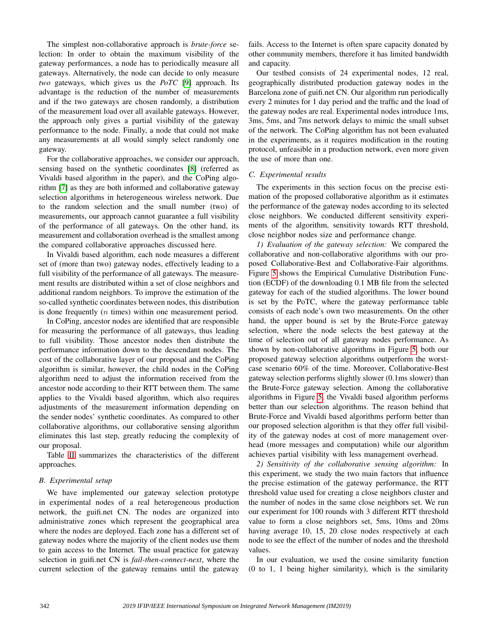The simplest non-collaborative approach is *brute-force* selection: In order to obtain the maximum visibility of the gateway performances, a node has to periodically measure all gateways. Alternatively, the node can decide to only measure *two* gateways, which gives us the *PoTC* [\[9\]](#page-8-8) approach. Its advantage is the reduction of the number of measurements and if the two gateways are chosen randomly, a distribution of the measurement load over all available gateways. However, the approach only gives a partial visibility of the gateway performance to the node. Finally, a node that could not make any measurements at all would simply select randomly one gateway.

For the collaborative approaches, we consider our approach, sensing based on the synthetic coordinates [\[8\]](#page-8-6) (referred as Vivaldi based algorithm in the paper), and the CoPing algorithm [\[7\]](#page-8-7) as they are both informed and collaborative gateway selection algorithms in heterogeneous wireless network. Due to the random selection and the small number (two) of measurements, our approach cannot guarantee a full visibility of the performance of all gateways. On the other hand, its measurement and collaboration overhead is the smallest among the compared collaborative approaches discussed here.

In Vivaldi based algorithm, each node measures a different set of (more than two) gateway nodes, effectively leading to a full visibility of the performance of all gateways. The measurement results are distributed within a set of close neighbors and additional random neighbors. To improve the estimation of the so-called synthetic coordinates between nodes, this distribution is done frequently  $(n \times n)$  within one measurement period.

In CoPing, ancestor nodes are identified that are responsible for measuring the performance of all gateways, thus leading to full visibility. Those ancestor nodes then distribute the performance information down to the descendant nodes. The cost of the collaborative layer of our proposal and the CoPing algorithm is similar, however, the child nodes in the CoPing algorithm need to adjust the information received from the ancestor node according to their RTT between them. The same applies to the Vivaldi based algorithm, which also requires adjustments of the measurement information depending on the sender nodes' synthetic coordinates. As compared to other collaborative algorithms, our collaborative sensing algorithm eliminates this last step, greatly reducing the complexity of our proposal.

Table [II](#page-6-0) summarizes the characteristics of the different approaches.

# <span id="page-5-2"></span>*B. Experimental setup*

We have implemented our gateway selection prototype in experimental nodes of a real heterogeneous production network, the guifi.net CN. The nodes are organized into administrative zones which represent the geographical area where the nodes are deployed. Each zone has a different set of gateway nodes where the majority of the client nodes use them to gain access to the Internet. The usual practice for gateway selection in guifi.net CN is *fail-then-connect-next*, where the current selection of the gateway remains until the gateway

fails. Access to the Internet is often spare capacity donated by other community members, therefore it has limited bandwidth and capacity.

Our testbed consists of 24 experimental nodes, 12 real, geographically distributed production gateway nodes in the Barcelona zone of guifi.net CN. Our algorithm run periodically every 2 minutes for 1 day period and the traffic and the load of the gateway nodes are real. Experimental nodes introduce 1ms, 3ms, 5ms, and 7ms network delays to mimic the small subset of the network. The CoPing algorithm has not been evaluated in the experiments, as it requires modification in the routing protocol, unfeasible in a production network, even more given the use of more than one.

# <span id="page-5-0"></span>*C. Experimental results*

The experiments in this section focus on the precise estimation of the proposed collaborative algorithm as it estimates the performance of the gateway nodes according to its selected close neighbors. We conducted different sensitivity experiments of the algorithm, sensitivity towards RTT threshold, close neighbor nodes size and performance change.

*1) Evaluation of the gateway selection:* We compared the collaborative and non-collaborative algorithms with our proposed Collaborative-Best and Collaborative-Fair algorithms. Figure [5](#page-6-1) shows the Empirical Cumulative Distribution Function (ECDF) of the downloading 0.1 MB file from the selected gateway for each of the studied algorithms. The lower bound is set by the PoTC, where the gateway performance table consists of each node's own two measurements. On the other hand, the upper bound is set by the Brute-Force gateway selection, where the node selects the best gateway at the time of selection out of all gateway nodes performance. As shown by non-collaborative algorithms in Figure [5,](#page-6-1) both our proposed gateway selection algorithms outperform the worstcase scenario 60% of the time. Moreover, Collaborative-Best gateway selection performs slightly slower (0.1ms slower) than the Brute-Force gateway selection. Among the collaborative algorithms in Figure [5,](#page-6-1) the Vivaldi based algorithm performs better than our selection algorithms. The reason behind that Brute-Force and Vivaldi based algorithms perform better than our proposed selection algorithm is that they offer full visibility of the gateway nodes at cost of more management overhead (more messages and computation) while our algorithm achieves partial visibility with less management overhead.

<span id="page-5-1"></span>*2) Sensitivity of the collaborative sensing algorithm:* In this experiment, we study the two main factors that influence the precise estimation of the gateway performance, the RTT threshold value used for creating a close neighbors cluster and the number of nodes in the same close neighbors set. We run our experiment for 100 rounds with 3 different RTT threshold value to form a close neighbors set, 5ms, 10ms and 20ms having average 10, 15, 20 close nodes respectively at each node to see the effect of the number of nodes and the threshold values.

In our evaluation, we used the cosine similarity function (0 to 1, 1 being higher similarity), which is the similarity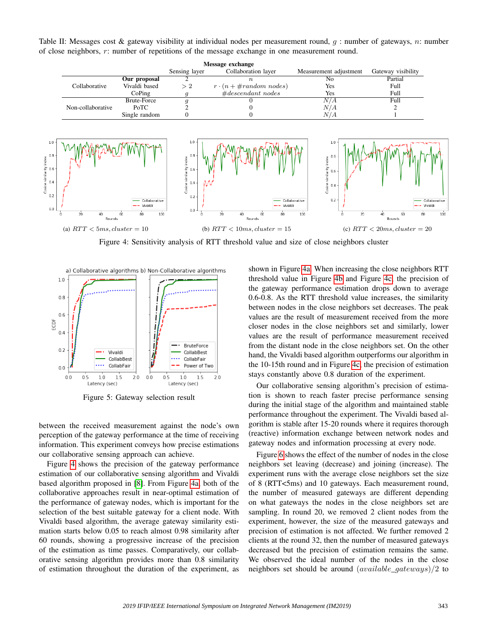<span id="page-6-0"></span>Table II: Messages cost & gateway visibility at individual nodes per measurement round, q : number of gateways, n: number of close neighbors, r: number of repetitions of the message exchange in one measurement round.

<span id="page-6-3"></span><span id="page-6-2"></span>

<span id="page-6-4"></span>Figure 4: Sensitivity analysis of RTT threshold value and size of close neighbors cluster

<span id="page-6-1"></span>

Figure 5: Gateway selection result

between the received measurement against the node's own perception of the gateway performance at the time of receiving information. This experiment conveys how precise estimations our collaborative sensing approach can achieve.

Figure [4](#page-6-2) shows the precision of the gateway performance estimation of our collaborative sensing algorithm and Vivaldi based algorithm proposed in [\[8\]](#page-8-6). From Figure [4a,](#page-6-3) both of the collaborative approaches result in near-optimal estimation of the performance of gateway nodes, which is important for the selection of the best suitable gateway for a client node. With Vivaldi based algorithm, the average gateway similarity estimation starts below 0.05 to reach almost 0.98 similarity after 60 rounds, showing a progressive increase of the precision of the estimation as time passes. Comparatively, our collaborative sensing algorithm provides more than 0.8 similarity of estimation throughout the duration of the experiment, as

<span id="page-6-5"></span>shown in Figure [4a.](#page-6-3) When increasing the close neighbors RTT threshold value in Figure [4b](#page-6-4) and Figure [4c,](#page-6-5) the precision of the gateway performance estimation drops down to average 0.6-0.8. As the RTT threshold value increases, the similarity between nodes in the close neighbors set decreases. The peak values are the result of measurement received from the more closer nodes in the close neighbors set and similarly, lower values are the result of performance measurement received from the distant node in the close neighbors set. On the other hand, the Vivaldi based algorithm outperforms our algorithm in the 10-15th round and in Figure [4c,](#page-6-5) the precision of estimation stays constantly above 0.8 duration of the experiment.

Our collaborative sensing algorithm's precision of estimation is shown to reach faster precise performance sensing during the initial stage of the algorithm and maintained stable performance throughout the experiment. The Vivaldi based algorithm is stable after 15-20 rounds where it requires thorough (reactive) information exchange between network nodes and gateway nodes and information processing at every node.

Figure [6](#page-7-0) shows the effect of the number of nodes in the close neighbors set leaving (decrease) and joining (increase). The experiment runs with the average close neighbors set the size of 8 (RTT<5ms) and 10 gateways. Each measurement round, the number of measured gateways are different depending on what gateways the nodes in the close neighbors set are sampling. In round 20, we removed 2 client nodes from the experiment, however, the size of the measured gateways and precision of estimation is not affected. We further removed 2 clients at the round 32, then the number of measured gateways decreased but the precision of estimation remains the same. We observed the ideal number of the nodes in the close neighbors set should be around  $(available\ qateways)/2$  to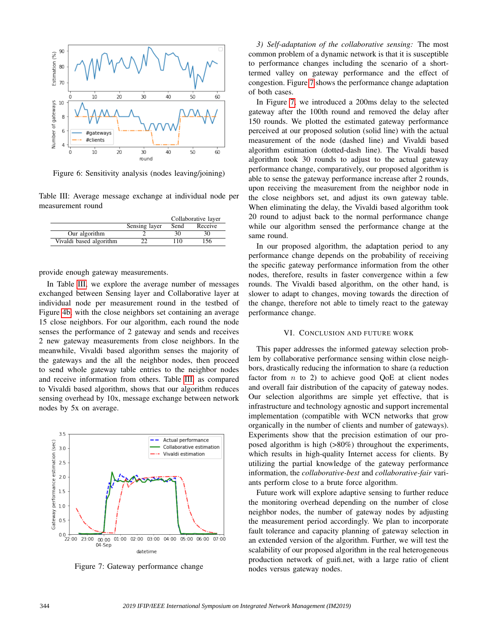<span id="page-7-0"></span>

Figure 6: Sensitivity analysis (nodes leaving/joining)

<span id="page-7-1"></span>Table III: Average message exchange at individual node per measurement round

|                         |               | Collaborative layer |         |
|-------------------------|---------------|---------------------|---------|
|                         | Sensing layer | Send                | Receive |
| Our algorithm           |               |                     |         |
| Vivaldi based algorithm |               |                     | 56      |

provide enough gateway measurements.

In Table [III,](#page-7-1) we explore the average number of messages exchanged between Sensing layer and Collaborative layer at individual node per measurement round in the testbed of Figure [4b,](#page-6-4) with the close neighbors set containing an average 15 close neighbors. For our algorithm, each round the node senses the performance of 2 gateway and sends and receives 2 new gateway measurements from close neighbors. In the meanwhile, Vivaldi based algorithm senses the majority of the gateways and the all the neighbor nodes, then proceed to send whole gateway table entries to the neighbor nodes and receive information from others. Table [III,](#page-7-1) as compared to Vivaldi based algorithm, shows that our algorithm reduces sensing overhead by 10x, message exchange between network nodes by 5x on average.

<span id="page-7-2"></span>

Figure 7: Gateway performance change

*3) Self-adaptation of the collaborative sensing:* The most common problem of a dynamic network is that it is susceptible to performance changes including the scenario of a shorttermed valley on gateway performance and the effect of congestion. Figure [7](#page-7-2) shows the performance change adaptation of both cases.

In Figure [7,](#page-7-2) we introduced a 200ms delay to the selected gateway after the 100th round and removed the delay after 150 rounds. We plotted the estimated gateway performance perceived at our proposed solution (solid line) with the actual measurement of the node (dashed line) and Vivaldi based algorithm estimation (dotted-dash line). The Vivaldi based algorithm took 30 rounds to adjust to the actual gateway performance change, comparatively, our proposed algorithm is able to sense the gateway performance increase after 2 rounds, upon receiving the measurement from the neighbor node in the close neighbors set, and adjust its own gateway table. When eliminating the delay, the Vivaldi based algorithm took 20 round to adjust back to the normal performance change while our algorithm sensed the performance change at the same round.

In our proposed algorithm, the adaptation period to any performance change depends on the probability of receiving the specific gateway performance information from the other nodes, therefore, results in faster convergence within a few rounds. The Vivaldi based algorithm, on the other hand, is slower to adapt to changes, moving towards the direction of the change, therefore not able to timely react to the gateway performance change.

## VI. CONCLUSION AND FUTURE WORK

This paper addresses the informed gateway selection problem by collaborative performance sensing within close neighbors, drastically reducing the information to share (a reduction factor from  $n$  to 2) to achieve good QoE at client nodes and overall fair distribution of the capacity of gateway nodes. Our selection algorithms are simple yet effective, that is infrastructure and technology agnostic and support incremental implementation (compatible with WCN networks that grow organically in the number of clients and number of gateways). Experiments show that the precision estimation of our proposed algorithm is high (>80%) throughout the experiments, which results in high-quality Internet access for clients. By utilizing the partial knowledge of the gateway performance information, the *collaborative-best* and *collaborative-fair* variants perform close to a brute force algorithm.

Future work will explore adaptive sensing to further reduce the monitoring overhead depending on the number of close neighbor nodes, the number of gateway nodes by adjusting the measurement period accordingly. We plan to incorporate fault tolerance and capacity planning of gateway selection in an extended version of the algorithm. Further, we will test the scalability of our proposed algorithm in the real heterogeneous production network of guifi.net, with a large ratio of client nodes versus gateway nodes.